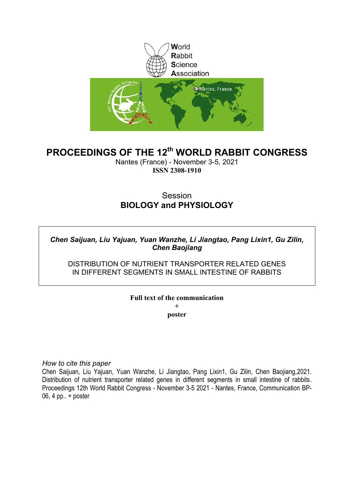

# **PROCEEDINGS OF THE 12th WORLD RABBIT CONGRESS**

Nantes (France) - November 3-5, 2021 **ISSN 2308-1910**

# **Session BIOLOGY and PHYSIOLOGY**

# *Chen Saijuan, Liu Yajuan, Yuan Wanzhe, Li Jiangtao, Pang Lixin1, Gu Zilin, Chen Baojiang*

## DISTRIBUTION OF NUTRIENT TRANSPORTER RELATED GENES IN DIFFERENT SEGMENTS IN SMALL INTESTINE OF RABBITS

# **Full text of the communication +**

**poster**

*How to cite this paper*

Chen Saijuan, Liu Yajuan, Yuan Wanzhe, Li Jiangtao, Pang Lixin1, Gu Zilin, Chen Baojiang,2021. Distribution of nutrient transporter related genes in different segments in small intestine of rabbits. Proceedings 12th World Rabbit Congress - November 3-5 2021 - Nantes, France, Communication BP-06, 4 pp.. + poster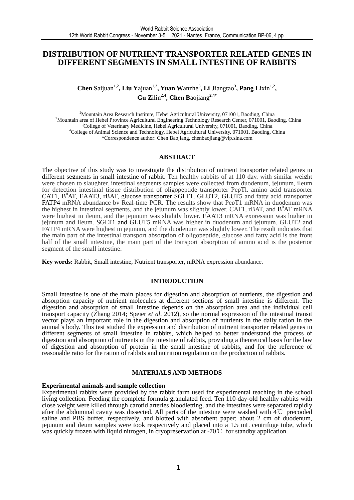### **DISTRIBUTION OF NUTRIENT TRANSPORTER RELATED GENES IN DIFFERENT SEGMENTS IN SMALL INTESTINE OF RABBITS**

**Chen Saijuan<sup>1,2</sup>, Liu Yajuan<sup>1,2</sup>, Yuan Wanzhe<sup>3</sup>, Li Jiangtao<sup>3</sup>, Pang Lixin<sup>1,2</sup>, Gu Z**ilin**2,4, Chen B**aojiang**2,4\*** 

<sup>1</sup>Mountain Area Research Institute, Hebei Agricultural University, 071001, Baoding, China <sup>2</sup>Mountain area of Hebei Province Agricultural Engineering Technology Research Center, 071001, Baoding, China <sup>3</sup>College of Veterinary Medicine, Hebei Agricultural University, 071001, Baoding, China <sup>4</sup>College of Animal Science and Technology, Hebei Agricultural University, 071001, Baoding, China \*Correspondence author: Chen Baojiang, chenbaojiang@vip.sina.com

#### **ABSTRACT**

The objective of this study was to investigate the distribution of nutrient transporter related genes in different segments in small intestine of rabbit. Ten healthy rabbits of at 110 day, with similar weight were chosen to slaughter. intestinal segments samples were collected from duodenum, jejunum, ileum for detection intestinal tissue distribution of oligopeptide transporter PepTl, amino acid transporter CAT1,  $B^{0}$ AT, EAAT3, rBAT, glucose transporter SGLT1, GLUT2, GLUT5 and fatty acid transporter FATP4 mRNA abundance by Real-time PCR. The results show that PepT1 mRNA in duodenum was the highest in intestinal segments, and the jejunum was slightly lower. CAT1, rBAT, and  $B^0AT$  mRNA were highest in ileum, and the jejunum was slightly lower. EAAT3 mRNA expression was higher in jejunum and ileum. SGLT1 and GLUT5 mRNA was higher in duodenum and jejunum. GLUT2 and FATP4 mRNA were highest in jejunum, and the duodenum was slightly lower. The result indicates that the main part of the intestinal transport absorption of oligopeptide, glucose and fatty acid is the front half of the small intestine, the main part of the transport absorption of amino acid is the posterior segment of the small intestine.

**Key words:** Rabbit, Small intestine, Nutrient transporter, mRNA expression abundance.

#### **INTRODUCTION**

Small intestine is one of the main places for digestion and absorption of nutrients, the digestion and absorption capacity of nutrient molecules at different sections of small intestine is different. The digestion and absorption of small intestine depends on the absorption area and the individual cell transport capacity (Zhang 2014; Speier *et al*. 2012), so the normal expression of the intestinal transit vector plays an important role in the digestion and absorption of nutrients in the daily ration in the animal's body. This test studied the expression and distribution of nutrient transporter related genes in different segments of small intestine in rabbits, which helped to better understand the process of digestion and absorption of nutrients in the intestine of rabbits, providing a theoretical basis for the law of digestion and absorption of protein in the small intestine of rabbits, and for the reference of reasonable ratio for the ration of rabbits and nutrition regulation on the production of rabbits.

#### **MATERIALS AND METHODS**

#### **Experimental animals and sample collection**

Experimental rabbits were provided by the rabbit farm used for experimental teaching in the school living collection. Feeding the complete formula granulated feed. Ten 110-day-old healthy rabbits with close weight were killed through carotid arteries bloodletting, and the intestines were separated rapidly after the abdominal cavity was dissected. All parts of the intestine were washed with 4℃ precooled saline and PBS buffer, respectively, and blotted with absorbent paper; about 2 cm of duodenum, jejunum and ileum samples were took respectively and placed into a 1.5 mL centrifuge tube, which was quickly frozen with liquid nitrogen, in cryopreservation at -70℃ for standby application.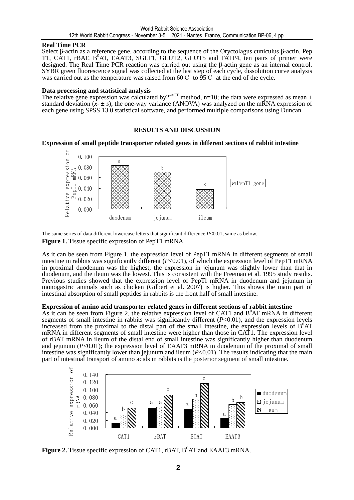#### **Real Time PCR**

Select β-actin as a reference gene, according to the sequence of the Oryctolagus cuniculus β-actin, Pep T1, CAT1, rBAT, B<sup>0</sup>AT, EAAT3, SGLT1, GLUT2, GLUT5 and FATP4, ten pairs of primer were designed. The Real Time PCR reaction was carried out using the β-actin gene as an internal control. SYBR green fluorescence signal was collected at the last step of each cycle, dissolution curve analysis was carried out as the temperature was raised from 60℃ to 95℃ at the end of the cycle.

#### **Data processing and statistical analysis**

The relative gene expression was calculated by  $2^{\Delta CT}$  method, n=10; the data were expressed as mean  $\pm$ standard deviation  $(x - \pm s)$ ; the one-way variance (ANOVA) was analyzed on the mRNA expression of each gene using SPSS 13.0 statistical software, and performed multiple comparisons using Duncan.

### **RESULTS AND DISCUSSION**

### **Expression of small peptide transporter related genes in different sections of rabbit intestine**



The same series of data different lowercase letters that significant difference  $P<0.01$ , same as below. **Figure 1.** Tissue specific expression of PepT1 mRNA.

As it can be seen from Figure 1, the expression level of PepT1 mRNA in different segments of small intestine in rabbits was significantly different (*P*<0.01), of which the expression level of PepT1 mRNA in proximal duodenum was the highest; the expression in jejunum was slightly lower than that in duodenum, and the ileum was the lowest. This is consistent with the Freeman et al. 1995 study results. Previous studies showed that the expression level of PepTl mRNA in duodenum and jejunum in monogastric animals such as chicken (Gilbert et al. 2007) is higher. This shows the main part of intestinal absorption of small peptides in rabbits is the front half of small intestine.

### **Expression of amino acid transporter related genes in different sections of rabbit intestine**

As it can be seen from Figure 2, the relative expression level of CAT1 and  $B^0AT$  mRNA in different segments of small intestine in rabbits was significantly different (*P*<0.01), and the expression levels increased from the proximal to the distal part of the small intestine, the expression levels of  $B^0AT$ mRNA in different segments of small intestine were higher than those in CAT1. The expression level of rBAT mRNA in ileum of the distal end of small intestine was significantly higher than duodenum and jejunum (*P*<0.01); the expression level of EAAT3 mRNA in duodenum of the proximal of small intestine was significantly lower than jejunum and ileum  $(P<0.01)$ . The results indicating that the main part of intestinal transport of amino acids in rabbits is the posterior segment of small intestine.



**Figure 2.** Tissue specific expression of CAT1, rBAT,  $B^{0}AT$  and EAAT3 mRNA.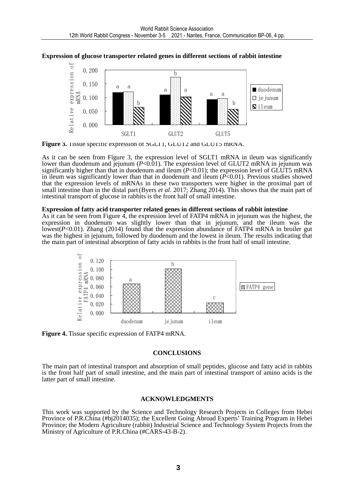



Figure 3. Tissue specific expression of SGLT1, GLUT2 and GLUT5 mRNA.

As it can be seen from Figure 3, the expression level of SGLT1 mRNA in ileum was significantly lower than duodenum and jejunum (*P*<0.01). The expression level of GLUT2 mRNA in jejunum was significantly higher than that in duodenum and ileum  $(P<0.01)$ ; the expression level of GLUT5 mRNA in ileum was significantly lower than that in duodenum and ileum (*P*<0.01). Previous studies showed that the expression levels of mRNAs in these two transporters were higher in the proximal part of small intestine than in the distal part(Byers *et al*. 2017; Zhang 2014). This shows that the main part of intestinal transport of glucose in rabbits is the front half of small intestine.

#### **Expression of fatty acid transporter related genes in different sections of rabbit intestine**

As it can be seen from Figure 4, the expression level of FATP4 mRNA in jejunum was the highest, the expression in duodenum was slightly lower than that in jejunum, and the ileum was the lowest(*P*<0.01). Zhang (2014) found that the expression abundance of FATP4 mRNA in broiler gut was the highest in jejunum, followed by duodenum and the lowest in ileum. The results indicating that the main part of intestinal absorption of fatty acids in rabbits is the front half of small intestine.



**Figure 4.** Tissue specific expression of FATP4 mRNA.

#### **CONCLUSIONS**

The main part of intestinal transport and absorption of small peptides, glucose and fatty acid in rabbits is the front half part of small intestine, and the main part of intestinal transport of amino acids is the latter part of small intestine.

#### **ACKNOWLEDGMENTS**

This work was supported by the Science and Technology Research Projects in Colleges from Hebei Province of P.R.China (#bj2014035); the Excellent Going Abroad Experts' Training Program in Hebei Province; the Modern Agriculture (rabbit) Industrial Science and Technology System Projects from the Ministry of Agriculture of P.R.China (#CARS-43-B-2).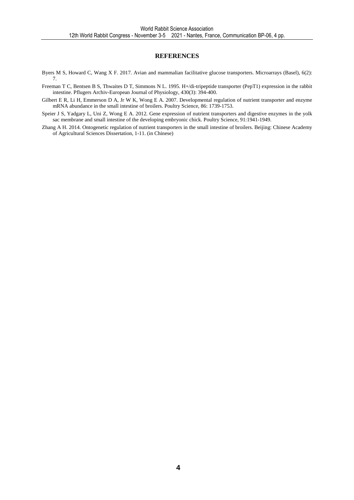#### **REFERENCES**

- Byers M S, Howard C, Wang X F. 2017. Avian and mammalian facilitative glucose transporters. Microarrays (Basel), 6(2): 7.
- Freeman T C, Bentsen B S, Thwaites D T, Simmons N L. 1995. H+/di-tripeptide transporter (PepT1) expression in the rabbit intestine. Pflugers Archiv-European Journal of Physiology, 430(3): 394-400.
- Gilbert E R, Li H, Emmerson D A, Jr W K, Wong E A. 2007. Developmental regulation of nutrient transporter and enzyme mRNA abundance in the small intestine of broilers. Poultry Science, 86: 1739-1753.
- Speier J S, Yadgary L, Uni Z, Wong E A. 2012. Gene expression of nutrient transporters and digestive enzymes in the yolk sac membrane and small intestine of the developing embryonic chick. Poultry Science, 91:1941-1949.
- Zhang A H. 2014. Ontogenetic regulation of nutrient transporters in the small intestine of broilers. Beijing: Chinese Academy of Agricultural Sciences Dissertation, 1-11. (in Chinese)